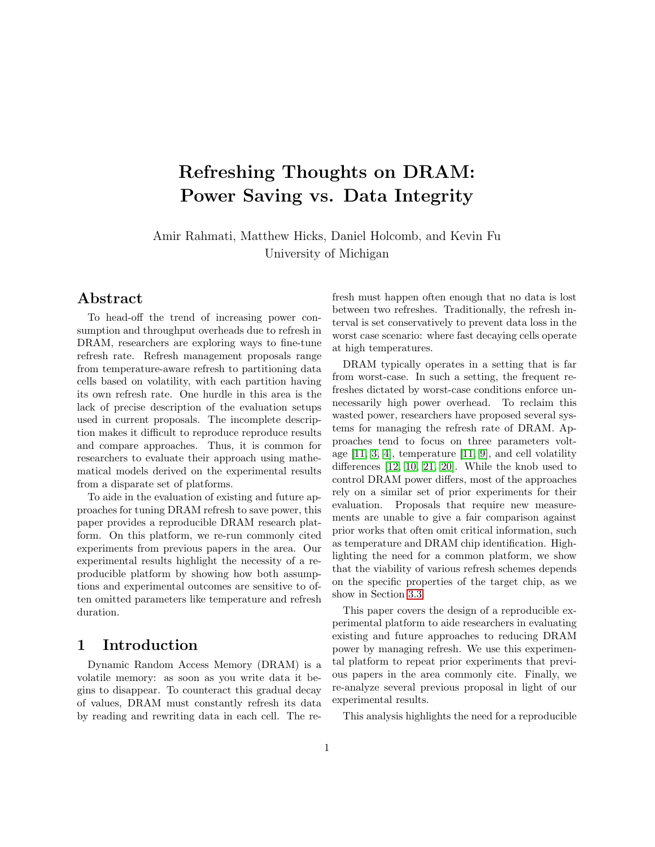# Refreshing Thoughts on DRAM: Power Saving vs. Data Integrity

Amir Rahmati, Matthew Hicks, Daniel Holcomb, and Kevin Fu University of Michigan

# Abstract

To head-off the trend of increasing power consumption and throughput overheads due to refresh in DRAM, researchers are exploring ways to fine-tune refresh rate. Refresh management proposals range from temperature-aware refresh to partitioning data cells based on volatility, with each partition having its own refresh rate. One hurdle in this area is the lack of precise description of the evaluation setups used in current proposals. The incomplete description makes it difficult to reproduce reproduce results and compare approaches. Thus, it is common for researchers to evaluate their approach using mathematical models derived on the experimental results from a disparate set of platforms.

To aide in the evaluation of existing and future approaches for tuning DRAM refresh to save power, this paper provides a reproducible DRAM research platform. On this platform, we re-run commonly cited experiments from previous papers in the area. Our experimental results highlight the necessity of a reproducible platform by showing how both assumptions and experimental outcomes are sensitive to often omitted parameters like temperature and refresh duration.

## 1 Introduction

Dynamic Random Access Memory (DRAM) is a volatile memory: as soon as you write data it begins to disappear. To counteract this gradual decay of values, DRAM must constantly refresh its data by reading and rewriting data in each cell. The refresh must happen often enough that no data is lost between two refreshes. Traditionally, the refresh interval is set conservatively to prevent data loss in the worst case scenario: where fast decaying cells operate at high temperatures.

DRAM typically operates in a setting that is far from worst-case. In such a setting, the frequent refreshes dictated by worst-case conditions enforce unnecessarily high power overhead. To reclaim this wasted power, researchers have proposed several systems for managing the refresh rate of DRAM. Approaches tend to focus on three parameters voltage  $[11, 3, 4]$  $[11, 3, 4]$  $[11, 3, 4]$ , temperature  $[11, 9]$  $[11, 9]$ , and cell volatility differences [\[12,](#page-6-2) [10,](#page-6-3) [21,](#page-6-4) [20\]](#page-6-5). While the knob used to control DRAM power differs, most of the approaches rely on a similar set of prior experiments for their evaluation. Proposals that require new measurements are unable to give a fair comparison against prior works that often omit critical information, such as temperature and DRAM chip identification. Highlighting the need for a common platform, we show that the viability of various refresh schemes depends on the specific properties of the target chip, as we show in Section [3.3.](#page-2-0)

This paper covers the design of a reproducible experimental platform to aide researchers in evaluating existing and future approaches to reducing DRAM power by managing refresh. We use this experimental platform to repeat prior experiments that previous papers in the area commonly cite. Finally, we re-analyze several previous proposal in light of our experimental results.

This analysis highlights the need for a reproducible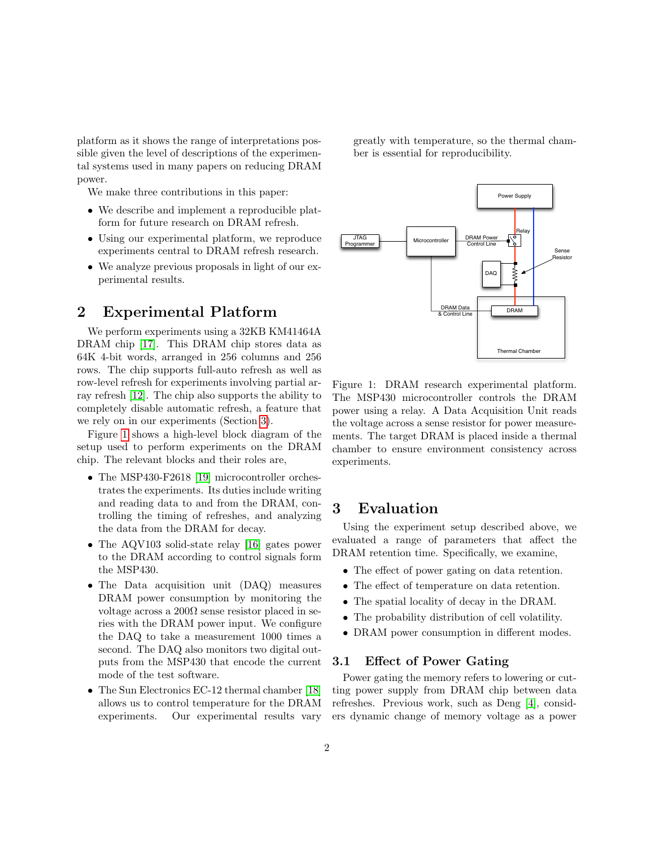platform as it shows the range of interpretations possible given the level of descriptions of the experimental systems used in many papers on reducing DRAM power.

We make three contributions in this paper:

- We describe and implement a reproducible platform for future research on DRAM refresh.
- Using our experimental platform, we reproduce experiments central to DRAM refresh research.
- We analyze previous proposals in light of our experimental results.

# 2 Experimental Platform

We perform experiments using a 32KB KM41464A DRAM chip [\[17\]](#page-6-6). This DRAM chip stores data as 64K 4-bit words, arranged in 256 columns and 256 rows. The chip supports full-auto refresh as well as row-level refresh for experiments involving partial array refresh [\[12\]](#page-6-2). The chip also supports the ability to completely disable automatic refresh, a feature that we rely on in our experiments (Section [3\)](#page-1-0).

Figure [1](#page-1-1) shows a high-level block diagram of the setup used to perform experiments on the DRAM chip. The relevant blocks and their roles are,

- The MSP430-F2618 [\[19\]](#page-6-7) microcontroller orchestrates the experiments. Its duties include writing and reading data to and from the DRAM, controlling the timing of refreshes, and analyzing the data from the DRAM for decay.
- The AQV103 solid-state relay [\[16\]](#page-6-8) gates power to the DRAM according to control signals form the MSP430.
- The Data acquisition unit (DAQ) measures DRAM power consumption by monitoring the voltage across a  $200\Omega$  sense resistor placed in series with the DRAM power input. We configure the DAQ to take a measurement 1000 times a second. The DAQ also monitors two digital outputs from the MSP430 that encode the current mode of the test software.
- The Sun Electronics EC-12 thermal chamber [\[18\]](#page-6-9) allows us to control temperature for the DRAM experiments. Our experimental results vary

greatly with temperature, so the thermal chamber is essential for reproducibility.

<span id="page-1-1"></span>

Figure 1: DRAM research experimental platform. The MSP430 microcontroller controls the DRAM power using a relay. A Data Acquisition Unit reads the voltage across a sense resistor for power measurements. The target DRAM is placed inside a thermal chamber to ensure environment consistency across experiments.

# <span id="page-1-0"></span>3 Evaluation

Using the experiment setup described above, we evaluated a range of parameters that affect the DRAM retention time. Specifically, we examine,

- The effect of power gating on data retention.
- The effect of temperature on data retention.
- The spatial locality of decay in the DRAM.
- The probability distribution of cell volatility.
- DRAM power consumption in different modes.

### 3.1 Effect of Power Gating

Power gating the memory refers to lowering or cutting power supply from DRAM chip between data refreshes. Previous work, such as Deng [\[4\]](#page-5-1), considers dynamic change of memory voltage as a power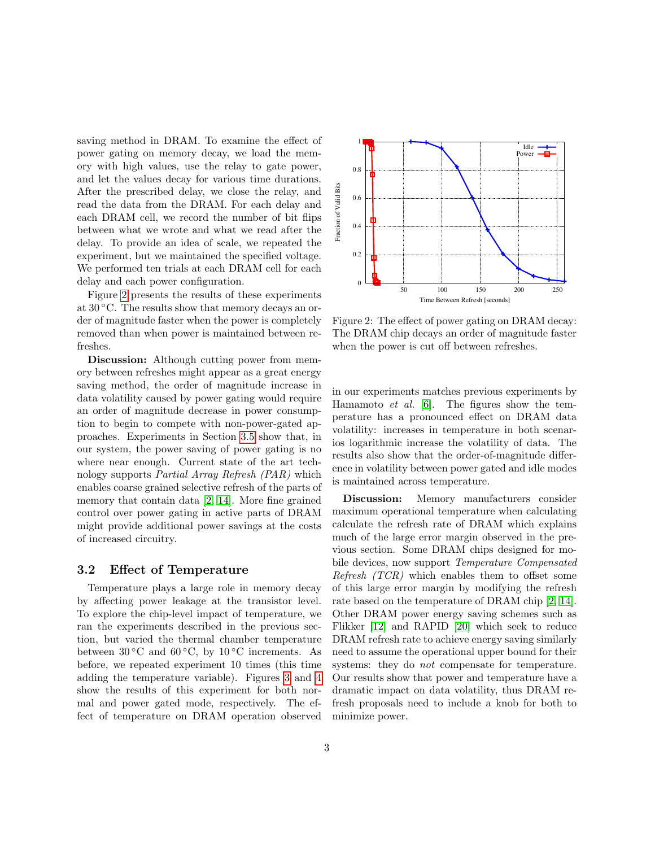saving method in DRAM. To examine the effect of power gating on memory decay, we load the memory with high values, use the relay to gate power, and let the values decay for various time durations. After the prescribed delay, we close the relay, and read the data from the DRAM. For each delay and each DRAM cell, we record the number of bit flips between what we wrote and what we read after the delay. To provide an idea of scale, we repeated the experiment, but we maintained the specified voltage. We performed ten trials at each DRAM cell for each delay and each power configuration.

Figure [2](#page-2-1) presents the results of these experiments at 30 ◦C. The results show that memory decays an order of magnitude faster when the power is completely removed than when power is maintained between refreshes.

Discussion: Although cutting power from memory between refreshes might appear as a great energy saving method, the order of magnitude increase in data volatility caused by power gating would require an order of magnitude decrease in power consumption to begin to compete with non-power-gated approaches. Experiments in Section [3.5](#page-4-0) show that, in our system, the power saving of power gating is no where near enough. Current state of the art technology supports Partial Array Refresh (PAR) which enables coarse grained selective refresh of the parts of memory that contain data [\[2,](#page-5-2) [14\]](#page-6-10). More fine grained control over power gating in active parts of DRAM might provide additional power savings at the costs of increased circuitry.

#### 3.2 Effect of Temperature

Temperature plays a large role in memory decay by affecting power leakage at the transistor level. To explore the chip-level impact of temperature, we ran the experiments described in the previous section, but varied the thermal chamber temperature between  $30\degree C$  and  $60\degree C$ , by  $10\degree C$  increments. As before, we repeated experiment 10 times (this time adding the temperature variable). Figures [3](#page-3-0) and [4](#page-3-1) show the results of this experiment for both normal and power gated mode, respectively. The effect of temperature on DRAM operation observed

<span id="page-2-1"></span>

Figure 2: The effect of power gating on DRAM decay: The DRAM chip decays an order of magnitude faster when the power is cut off between refreshes.

in our experiments matches previous experiments by Hamamoto et al. [\[6\]](#page-6-11). The figures show the temperature has a pronounced effect on DRAM data volatility: increases in temperature in both scenarios logarithmic increase the volatility of data. The results also show that the order-of-magnitude difference in volatility between power gated and idle modes is maintained across temperature.

<span id="page-2-0"></span>Discussion: Memory manufacturers consider maximum operational temperature when calculating calculate the refresh rate of DRAM which explains much of the large error margin observed in the previous section. Some DRAM chips designed for mobile devices, now support Temperature Compensated Refresh (TCR) which enables them to offset some of this large error margin by modifying the refresh rate based on the temperature of DRAM chip [\[2,](#page-5-2) [14\]](#page-6-10). Other DRAM power energy saving schemes such as Flikker [\[12\]](#page-6-2) and RAPID [\[20\]](#page-6-5) which seek to reduce DRAM refresh rate to achieve energy saving similarly need to assume the operational upper bound for their systems: they do *not* compensate for temperature. Our results show that power and temperature have a dramatic impact on data volatility, thus DRAM refresh proposals need to include a knob for both to minimize power.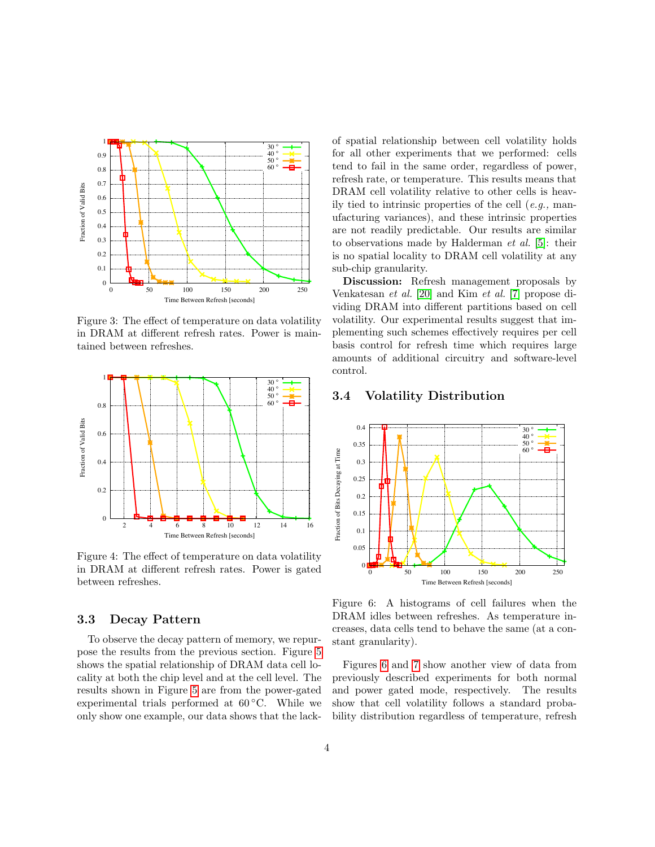<span id="page-3-0"></span>

Figure 3: The effect of temperature on data volatility in DRAM at different refresh rates. Power is maintained between refreshes.

<span id="page-3-1"></span>

Figure 4: The effect of temperature on data volatility in DRAM at different refresh rates. Power is gated between refreshes.

## 3.3 Decay Pattern

To observe the decay pattern of memory, we repurpose the results from the previous section. Figure [5](#page-4-1) shows the spatial relationship of DRAM data cell locality at both the chip level and at the cell level. The results shown in Figure [5](#page-4-1) are from the power-gated experimental trials performed at  $60^{\circ}$ C. While we only show one example, our data shows that the lackof spatial relationship between cell volatility holds for all other experiments that we performed: cells tend to fail in the same order, regardless of power, refresh rate, or temperature. This results means that DRAM cell volatility relative to other cells is heavily tied to intrinsic properties of the cell  $(e.g.,$  manufacturing variances), and these intrinsic properties are not readily predictable. Our results are similar to observations made by Halderman et al. [\[5\]](#page-6-12): their is no spatial locality to DRAM cell volatility at any sub-chip granularity.

Discussion: Refresh management proposals by Venkatesan et al. [\[20\]](#page-6-5) and Kim et al. [\[7\]](#page-6-13) propose dividing DRAM into different partitions based on cell volatility. Our experimental results suggest that implementing such schemes effectively requires per cell basis control for refresh time which requires large amounts of additional circuitry and software-level control.

### 3.4 Volatility Distribution

<span id="page-3-2"></span>

Figure 6: A histograms of cell failures when the DRAM idles between refreshes. As temperature increases, data cells tend to behave the same (at a constant granularity).

Figures [6](#page-3-2) and [7](#page-4-2) show another view of data from previously described experiments for both normal and power gated mode, respectively. The results show that cell volatility follows a standard probability distribution regardless of temperature, refresh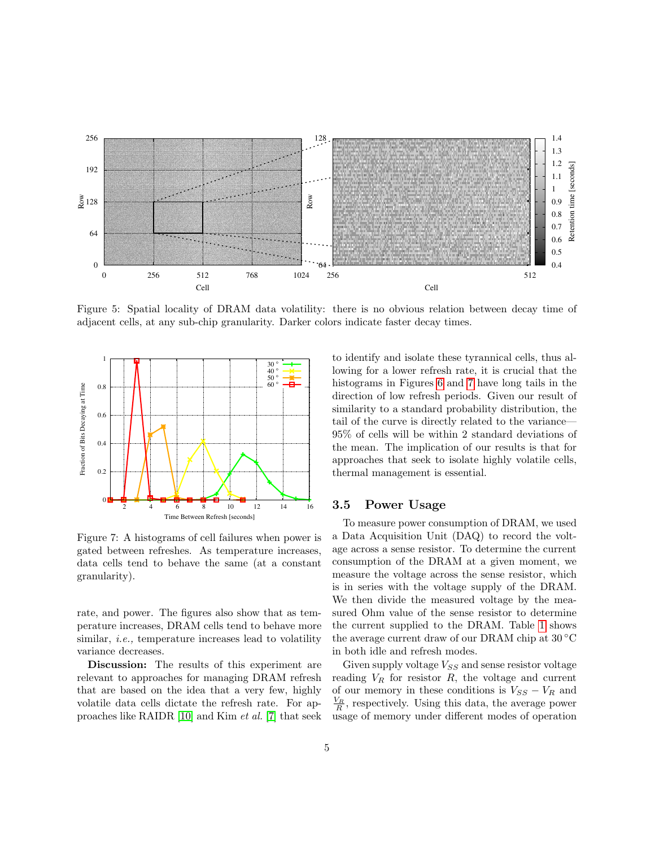<span id="page-4-1"></span>

Figure 5: Spatial locality of DRAM data volatility: there is no obvious relation between decay time of adjacent cells, at any sub-chip granularity. Darker colors indicate faster decay times.

<span id="page-4-2"></span>

Figure 7: A histograms of cell failures when power is gated between refreshes. As temperature increases, data cells tend to behave the same (at a constant granularity).

rate, and power. The figures also show that as temperature increases, DRAM cells tend to behave more similar, *i.e.*, temperature increases lead to volatility variance decreases.

Discussion: The results of this experiment are relevant to approaches for managing DRAM refresh that are based on the idea that a very few, highly volatile data cells dictate the refresh rate. For approaches like RAIDR [\[10\]](#page-6-3) and Kim et al. [\[7\]](#page-6-13) that seek to identify and isolate these tyrannical cells, thus allowing for a lower refresh rate, it is crucial that the histograms in Figures [6](#page-3-2) and [7](#page-4-2) have long tails in the direction of low refresh periods. Given our result of similarity to a standard probability distribution, the tail of the curve is directly related to the variance— 95% of cells will be within 2 standard deviations of the mean. The implication of our results is that for approaches that seek to isolate highly volatile cells, thermal management is essential.

#### <span id="page-4-0"></span>3.5 Power Usage

To measure power consumption of DRAM, we used a Data Acquisition Unit (DAQ) to record the voltage across a sense resistor. To determine the current consumption of the DRAM at a given moment, we measure the voltage across the sense resistor, which is in series with the voltage supply of the DRAM. We then divide the measured voltage by the measured Ohm value of the sense resistor to determine the current supplied to the DRAM. Table [1](#page-5-3) shows the average current draw of our DRAM chip at 30 ◦C in both idle and refresh modes.

Given supply voltage  $V_{SS}$  and sense resistor voltage reading  $V_R$  for resistor  $R$ , the voltage and current of our memory in these conditions is  $V_{SS} - V_R$  and  $\frac{V_R}{R}$ , respectively. Using this data, the average power usage of memory under different modes of operation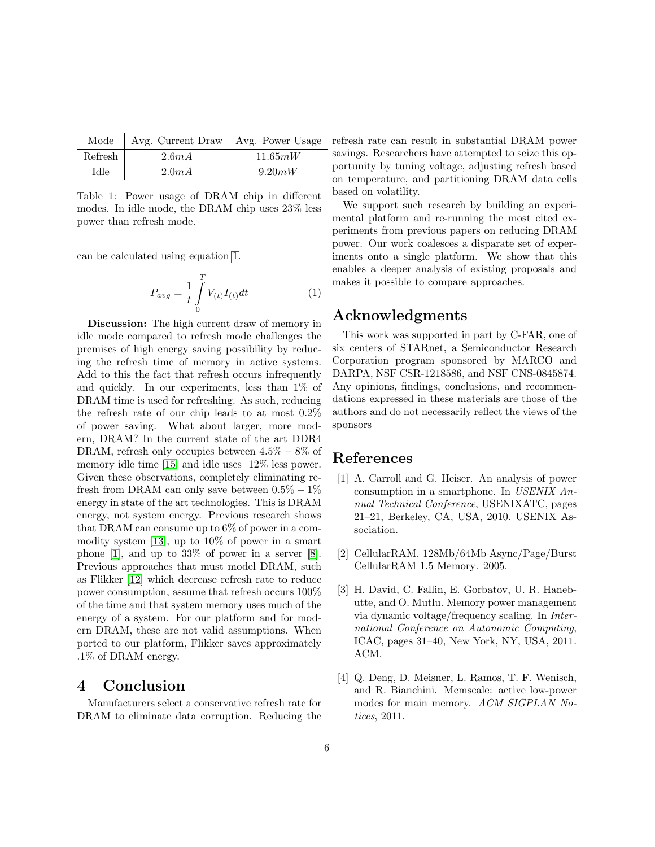<span id="page-5-3"></span>

|         | Mode   Avg. Current Draw   Avg. Power Usage |         |
|---------|---------------------------------------------|---------|
| Refresh | 2.6mA                                       | 11.65mW |
| Idle    | 2.0mA                                       | 9.20mW  |

Table 1: Power usage of DRAM chip in different modes. In idle mode, the DRAM chip uses 23% less power than refresh mode.

<span id="page-5-4"></span>can be calculated using equation [1.](#page-5-4)

$$
P_{avg} = \frac{1}{t} \int_{0}^{T} V_{(t)} I_{(t)} dt
$$
 (1)

Discussion: The high current draw of memory in idle mode compared to refresh mode challenges the premises of high energy saving possibility by reducing the refresh time of memory in active systems. Add to this the fact that refresh occurs infrequently and quickly. In our experiments, less than 1% of DRAM time is used for refreshing. As such, reducing the refresh rate of our chip leads to at most 0.2% of power saving. What about larger, more modern, DRAM? In the current state of the art DDR4 DRAM, refresh only occupies between  $4.5\% - 8\%$  of memory idle time [\[15\]](#page-6-14) and idle uses 12% less power. Given these observations, completely eliminating refresh from DRAM can only save between  $0.5\% - 1\%$ energy in state of the art technologies. This is DRAM energy, not system energy. Previous research shows that DRAM can consume up to 6% of power in a commodity system [\[13\]](#page-6-15), up to 10% of power in a smart phone [\[1\]](#page-5-5), and up to 33% of power in a server [\[8\]](#page-6-16). Previous approaches that must model DRAM, such as Flikker [\[12\]](#page-6-2) which decrease refresh rate to reduce power consumption, assume that refresh occurs 100% of the time and that system memory uses much of the energy of a system. For our platform and for modern DRAM, these are not valid assumptions. When ported to our platform, Flikker saves approximately .1% of DRAM energy.

# 4 Conclusion

Manufacturers select a conservative refresh rate for DRAM to eliminate data corruption. Reducing the

refresh rate can result in substantial DRAM power savings. Researchers have attempted to seize this opportunity by tuning voltage, adjusting refresh based on temperature, and partitioning DRAM data cells based on volatility.

We support such research by building an experimental platform and re-running the most cited experiments from previous papers on reducing DRAM power. Our work coalesces a disparate set of experiments onto a single platform. We show that this enables a deeper analysis of existing proposals and makes it possible to compare approaches.

## Acknowledgments

This work was supported in part by C-FAR, one of six centers of STARnet, a Semiconductor Research Corporation program sponsored by MARCO and DARPA, NSF CSR-1218586, and NSF CNS-0845874. Any opinions, findings, conclusions, and recommendations expressed in these materials are those of the authors and do not necessarily reflect the views of the sponsors

## References

- <span id="page-5-5"></span>[1] A. Carroll and G. Heiser. An analysis of power consumption in a smartphone. In USENIX Annual Technical Conference, USENIXATC, pages 21–21, Berkeley, CA, USA, 2010. USENIX Association.
- <span id="page-5-2"></span>[2] CellularRAM. 128Mb/64Mb Async/Page/Burst CellularRAM 1.5 Memory. 2005.
- <span id="page-5-0"></span>[3] H. David, C. Fallin, E. Gorbatov, U. R. Hanebutte, and O. Mutlu. Memory power management via dynamic voltage/frequency scaling. In International Conference on Autonomic Computing, ICAC, pages 31–40, New York, NY, USA, 2011. ACM.
- <span id="page-5-1"></span>[4] Q. Deng, D. Meisner, L. Ramos, T. F. Wenisch, and R. Bianchini. Memscale: active low-power modes for main memory. ACM SIGPLAN Notices, 2011.